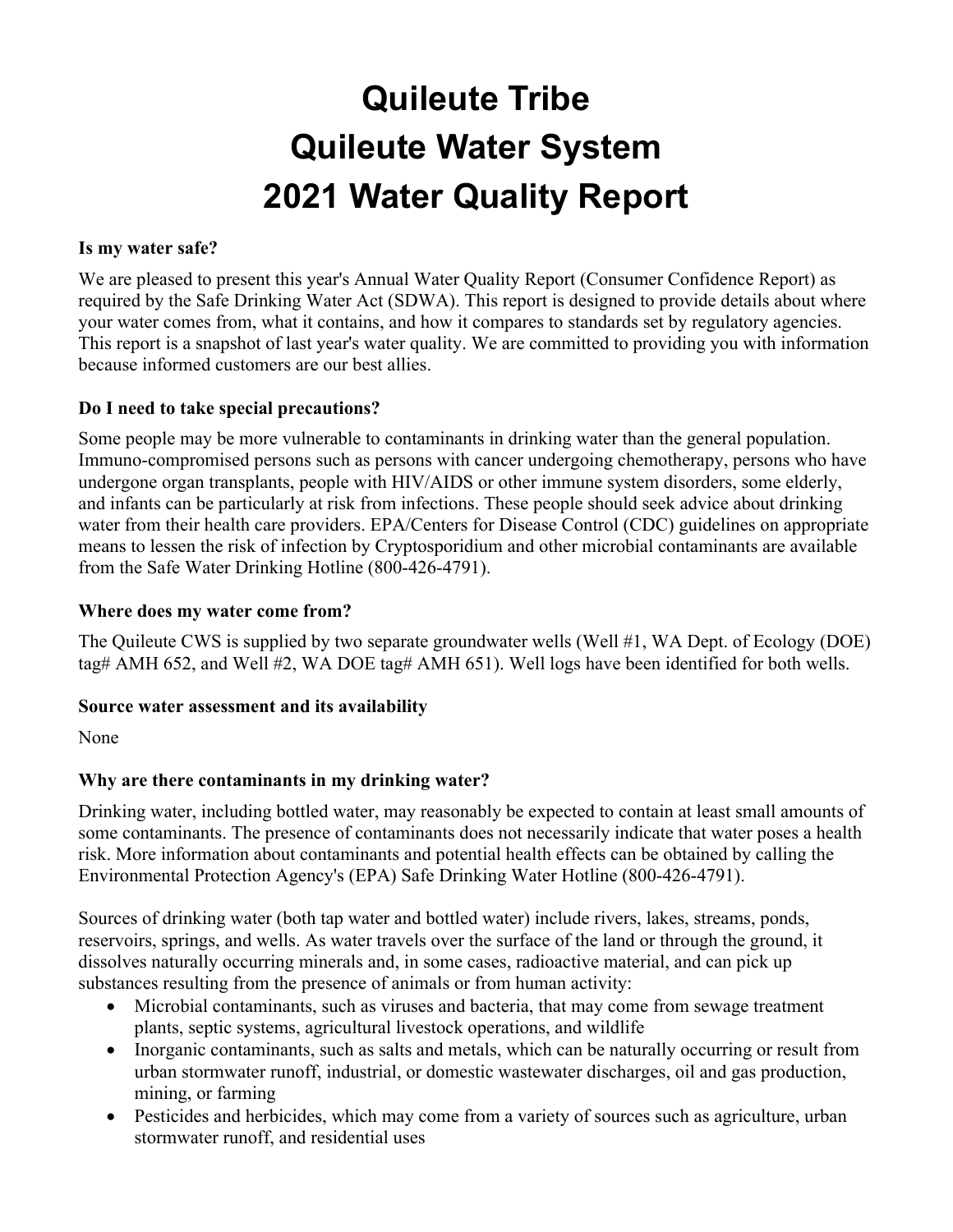# **Quileute Tribe Quileute Water System 2021 Water Quality Report**

#### **Is my water safe?**

We are pleased to present this year's Annual Water Quality Report (Consumer Confidence Report) as required by the Safe Drinking Water Act (SDWA). This report is designed to provide details about where your water comes from, what it contains, and how it compares to standards set by regulatory agencies. This report is a snapshot of last year's water quality. We are committed to providing you with information because informed customers are our best allies.

#### **Do I need to take special precautions?**

Some people may be more vulnerable to contaminants in drinking water than the general population. Immuno-compromised persons such as persons with cancer undergoing chemotherapy, persons who have undergone organ transplants, people with HIV/AIDS or other immune system disorders, some elderly, and infants can be particularly at risk from infections. These people should seek advice about drinking water from their health care providers. EPA/Centers for Disease Control (CDC) guidelines on appropriate means to lessen the risk of infection by Cryptosporidium and other microbial contaminants are available from the Safe Water Drinking Hotline (800-426-4791).

#### **Where does my water come from?**

The Quileute CWS is supplied by two separate groundwater wells (Well #1, WA Dept. of Ecology (DOE) tag# AMH 652, and Well #2, WA DOE tag# AMH 651). Well logs have been identified for both wells.

#### **Source water assessment and its availability**

None

#### **Why are there contaminants in my drinking water?**

Drinking water, including bottled water, may reasonably be expected to contain at least small amounts of some contaminants. The presence of contaminants does not necessarily indicate that water poses a health risk. More information about contaminants and potential health effects can be obtained by calling the Environmental Protection Agency's (EPA) Safe Drinking Water Hotline (800-426-4791).

Sources of drinking water (both tap water and bottled water) include rivers, lakes, streams, ponds, reservoirs, springs, and wells. As water travels over the surface of the land or through the ground, it dissolves naturally occurring minerals and, in some cases, radioactive material, and can pick up substances resulting from the presence of animals or from human activity:

- Microbial contaminants, such as viruses and bacteria, that may come from sewage treatment plants, septic systems, agricultural livestock operations, and wildlife
- Inorganic contaminants, such as salts and metals, which can be naturally occurring or result from urban stormwater runoff, industrial, or domestic wastewater discharges, oil and gas production, mining, or farming
- Pesticides and herbicides, which may come from a variety of sources such as agriculture, urban stormwater runoff, and residential uses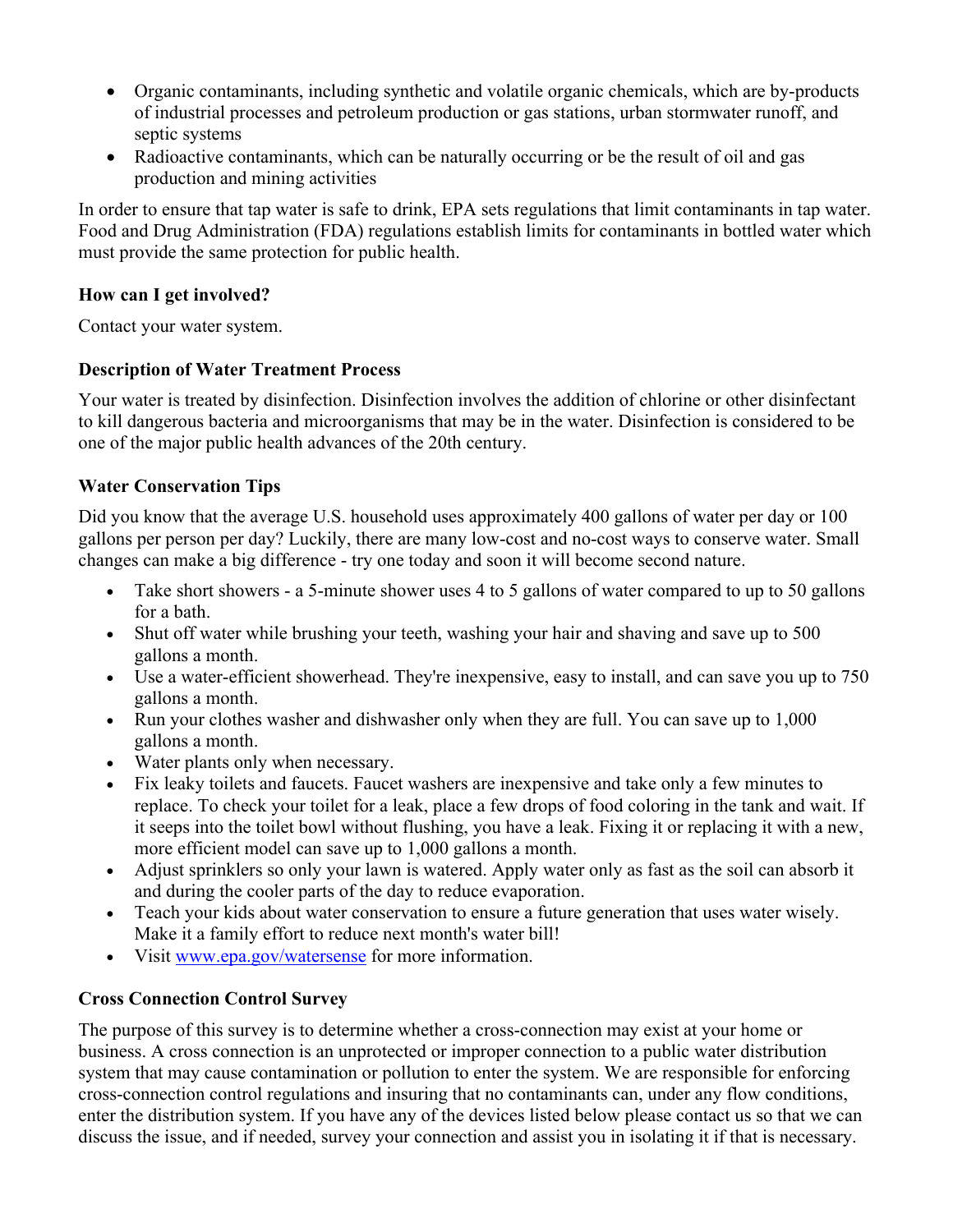- Organic contaminants, including synthetic and volatile organic chemicals, which are by-products of industrial processes and petroleum production or gas stations, urban stormwater runoff, and septic systems
- Radioactive contaminants, which can be naturally occurring or be the result of oil and gas production and mining activities

In order to ensure that tap water is safe to drink, EPA sets regulations that limit contaminants in tap water. Food and Drug Administration (FDA) regulations establish limits for contaminants in bottled water which must provide the same protection for public health.

### **How can I get involved?**

Contact your water system.

# **Description of Water Treatment Process**

Your water is treated by disinfection. Disinfection involves the addition of chlorine or other disinfectant to kill dangerous bacteria and microorganisms that may be in the water. Disinfection is considered to be one of the major public health advances of the 20th century.

# **Water Conservation Tips**

Did you know that the average U.S. household uses approximately 400 gallons of water per day or 100 gallons per person per day? Luckily, there are many low-cost and no-cost ways to conserve water. Small changes can make a big difference - try one today and soon it will become second nature.

- Take short showers a 5-minute shower uses 4 to 5 gallons of water compared to up to 50 gallons for a bath.
- Shut off water while brushing your teeth, washing your hair and shaving and save up to 500 gallons a month.
- Use a water-efficient showerhead. They're inexpensive, easy to install, and can save you up to 750 gallons a month.
- Run your clothes washer and dishwasher only when they are full. You can save up to 1,000 gallons a month.
- Water plants only when necessary.
- Fix leaky toilets and faucets. Faucet washers are inexpensive and take only a few minutes to replace. To check your toilet for a leak, place a few drops of food coloring in the tank and wait. If it seeps into the toilet bowl without flushing, you have a leak. Fixing it or replacing it with a new, more efficient model can save up to 1,000 gallons a month.
- Adjust sprinklers so only your lawn is watered. Apply water only as fast as the soil can absorb it and during the cooler parts of the day to reduce evaporation.
- Teach your kids about water conservation to ensure a future generation that uses water wisely. Make it a family effort to reduce next month's water bill!
- Visit www.epa.gov/watersense for more information.

# **Cross Connection Control Survey**

The purpose of this survey is to determine whether a cross-connection may exist at your home or business. A cross connection is an unprotected or improper connection to a public water distribution system that may cause contamination or pollution to enter the system. We are responsible for enforcing cross-connection control regulations and insuring that no contaminants can, under any flow conditions, enter the distribution system. If you have any of the devices listed below please contact us so that we can discuss the issue, and if needed, survey your connection and assist you in isolating it if that is necessary.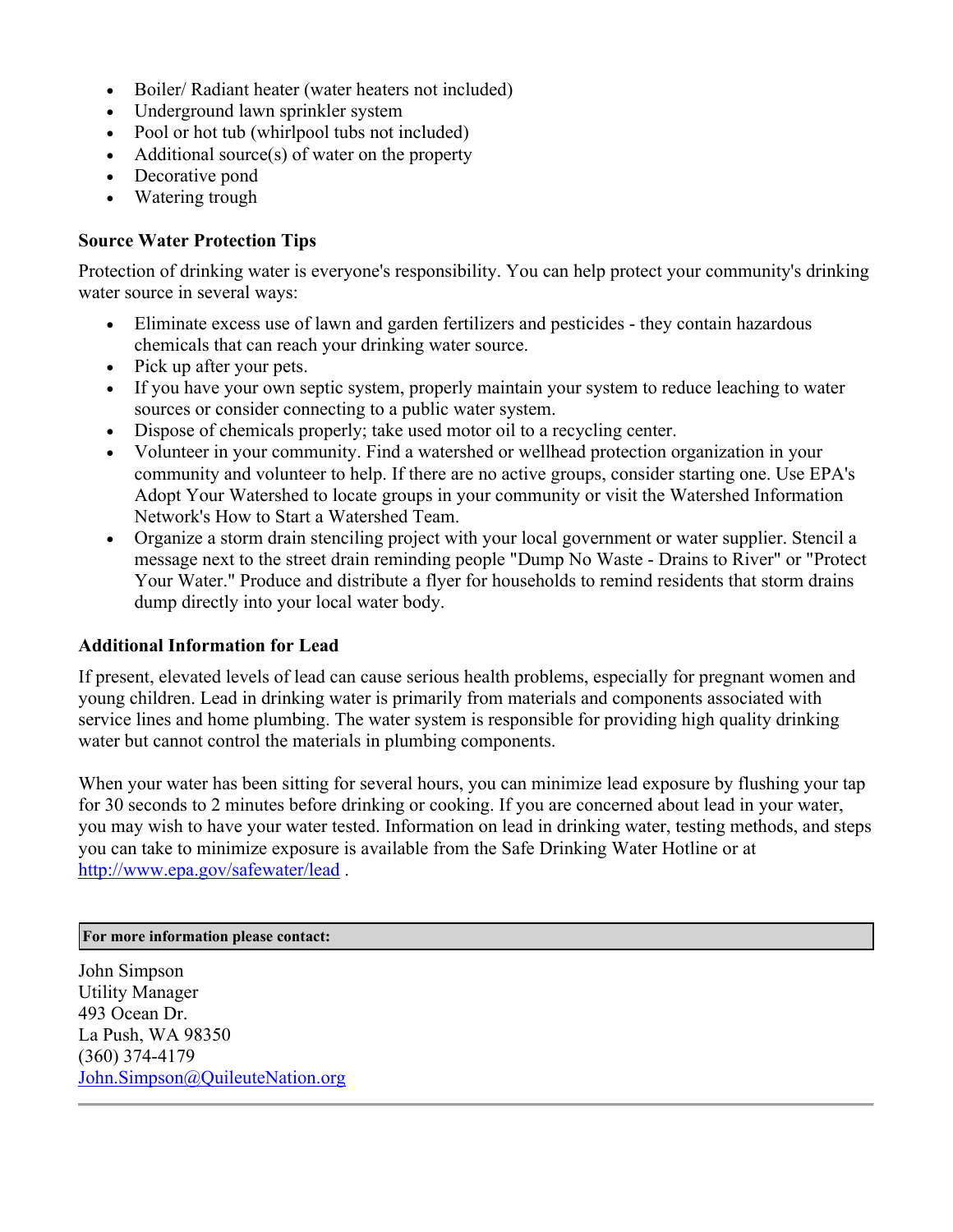- Boiler/ Radiant heater (water heaters not included)
- Underground lawn sprinkler system
- Pool or hot tub (whirlpool tubs not included)
- Additional source(s) of water on the property
- Decorative pond
- Watering trough

#### **Source Water Protection Tips**

Protection of drinking water is everyone's responsibility. You can help protect your community's drinking water source in several ways:

- Eliminate excess use of lawn and garden fertilizers and pesticides they contain hazardous chemicals that can reach your drinking water source.
- Pick up after your pets.
- If you have your own septic system, properly maintain your system to reduce leaching to water sources or consider connecting to a public water system.
- Dispose of chemicals properly; take used motor oil to a recycling center.
- Volunteer in your community. Find a watershed or wellhead protection organization in your community and volunteer to help. If there are no active groups, consider starting one. Use EPA's Adopt Your Watershed to locate groups in your community or visit the Watershed Information Network's How to Start a Watershed Team.
- Organize a storm drain stenciling project with your local government or water supplier. Stencil a message next to the street drain reminding people "Dump No Waste - Drains to River" or "Protect Your Water." Produce and distribute a flyer for households to remind residents that storm drains dump directly into your local water body.

#### **Additional Information for Lead**

If present, elevated levels of lead can cause serious health problems, especially for pregnant women and young children. Lead in drinking water is primarily from materials and components associated with service lines and home plumbing. The water system is responsible for providing high quality drinking water but cannot control the materials in plumbing components.

When your water has been sitting for several hours, you can minimize lead exposure by flushing your tap for 30 seconds to 2 minutes before drinking or cooking. If you are concerned about lead in your water, you may wish to have your water tested. Information on lead in drinking water, testing methods, and steps you can take to minimize exposure is available from the Safe Drinking Water Hotline or at http://www.epa.gov/safewater/lead .

#### **For more information please contact:**

John Simpson Utility Manager 493 Ocean Dr. La Push, WA 98350 (360) 374-4179 John.Simpson@QuileuteNation.org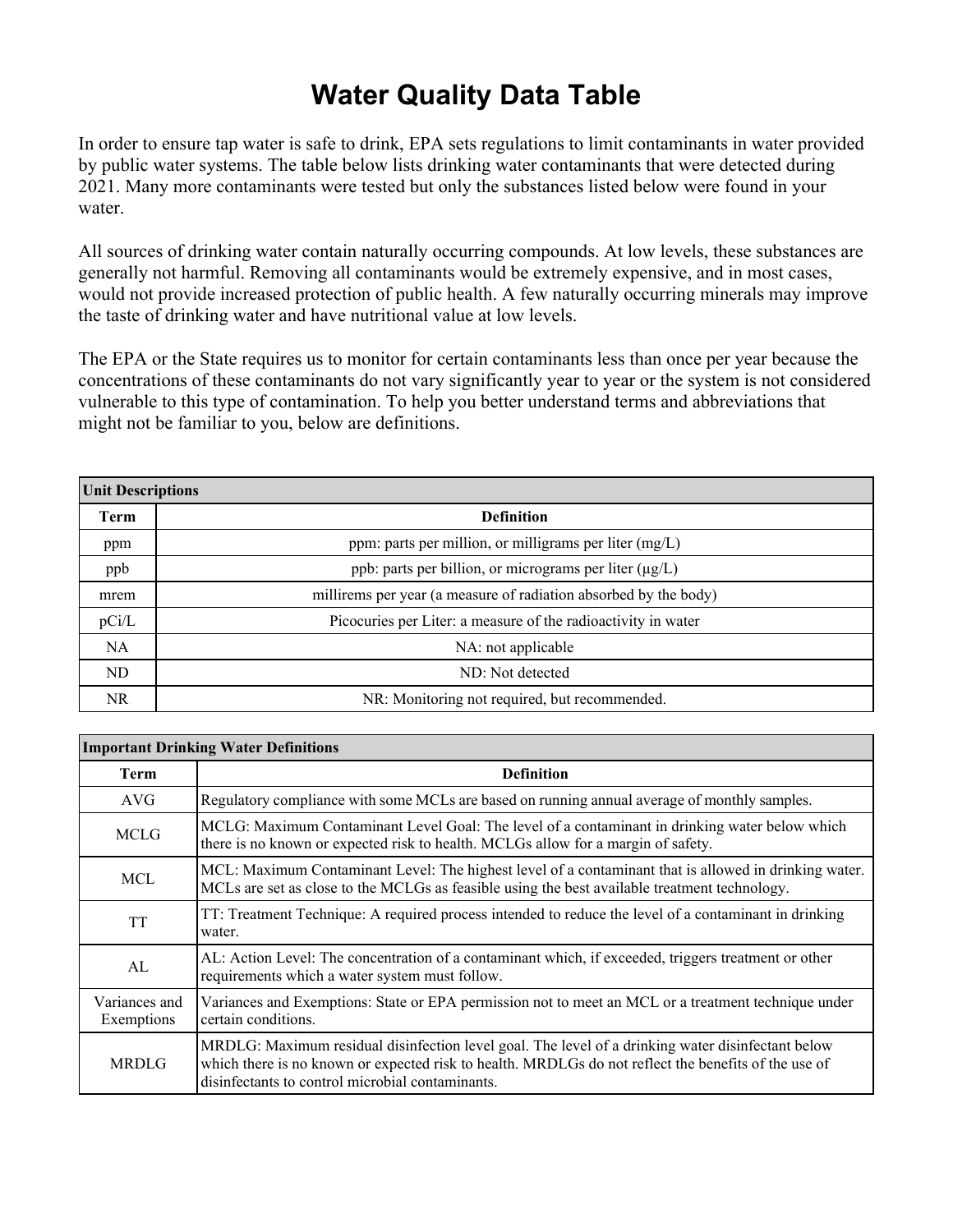# **Water Quality Data Table**

In order to ensure tap water is safe to drink, EPA sets regulations to limit contaminants in water provided by public water systems. The table below lists drinking water contaminants that were detected during 2021. Many more contaminants were tested but only the substances listed below were found in your water.

All sources of drinking water contain naturally occurring compounds. At low levels, these substances are generally not harmful. Removing all contaminants would be extremely expensive, and in most cases, would not provide increased protection of public health. A few naturally occurring minerals may improve the taste of drinking water and have nutritional value at low levels.

The EPA or the State requires us to monitor for certain contaminants less than once per year because the concentrations of these contaminants do not vary significantly year to year or the system is not considered vulnerable to this type of contamination. To help you better understand terms and abbreviations that might not be familiar to you, below are definitions.

| <b>Unit Descriptions</b> |                                                                  |  |  |  |  |  |  |  |
|--------------------------|------------------------------------------------------------------|--|--|--|--|--|--|--|
| Term                     | <b>Definition</b>                                                |  |  |  |  |  |  |  |
| ppm                      | ppm: parts per million, or milligrams per liter $(mg/L)$         |  |  |  |  |  |  |  |
| ppb                      | ppb: parts per billion, or micrograms per liter $(\mu g/L)$      |  |  |  |  |  |  |  |
| mrem                     | millirems per year (a measure of radiation absorbed by the body) |  |  |  |  |  |  |  |
| pCi/L                    | Picocuries per Liter: a measure of the radioactivity in water    |  |  |  |  |  |  |  |
| NA.                      | NA: not applicable                                               |  |  |  |  |  |  |  |
| ND                       | ND: Not detected                                                 |  |  |  |  |  |  |  |
| NR.                      | NR: Monitoring not required, but recommended.                    |  |  |  |  |  |  |  |

| <b>Important Drinking Water Definitions</b> |                                                                                                                                                                                                                                                               |  |  |  |  |  |  |
|---------------------------------------------|---------------------------------------------------------------------------------------------------------------------------------------------------------------------------------------------------------------------------------------------------------------|--|--|--|--|--|--|
| Term                                        | <b>Definition</b>                                                                                                                                                                                                                                             |  |  |  |  |  |  |
| AVG                                         | Regulatory compliance with some MCLs are based on running annual average of monthly samples.                                                                                                                                                                  |  |  |  |  |  |  |
| <b>MCLG</b>                                 | MCLG: Maximum Contaminant Level Goal: The level of a contaminant in drinking water below which<br>there is no known or expected risk to health. MCLGs allow for a margin of safety.                                                                           |  |  |  |  |  |  |
| <b>MCL</b>                                  | MCL: Maximum Contaminant Level: The highest level of a contaminant that is allowed in drinking water.<br>MCLs are set as close to the MCLGs as feasible using the best available treatment technology.                                                        |  |  |  |  |  |  |
| TT                                          | TT: Treatment Technique: A required process intended to reduce the level of a contaminant in drinking<br>water.                                                                                                                                               |  |  |  |  |  |  |
| AL                                          | AL: Action Level: The concentration of a contaminant which, if exceeded, triggers treatment or other<br>requirements which a water system must follow.                                                                                                        |  |  |  |  |  |  |
| Variances and<br>Exemptions                 | Variances and Exemptions: State or EPA permission not to meet an MCL or a treatment technique under<br>certain conditions.                                                                                                                                    |  |  |  |  |  |  |
| <b>MRDLG</b>                                | MRDLG: Maximum residual disinfection level goal. The level of a drinking water disinfectant below<br>which there is no known or expected risk to health. MRDLGs do not reflect the benefits of the use of<br>disinfectants to control microbial contaminants. |  |  |  |  |  |  |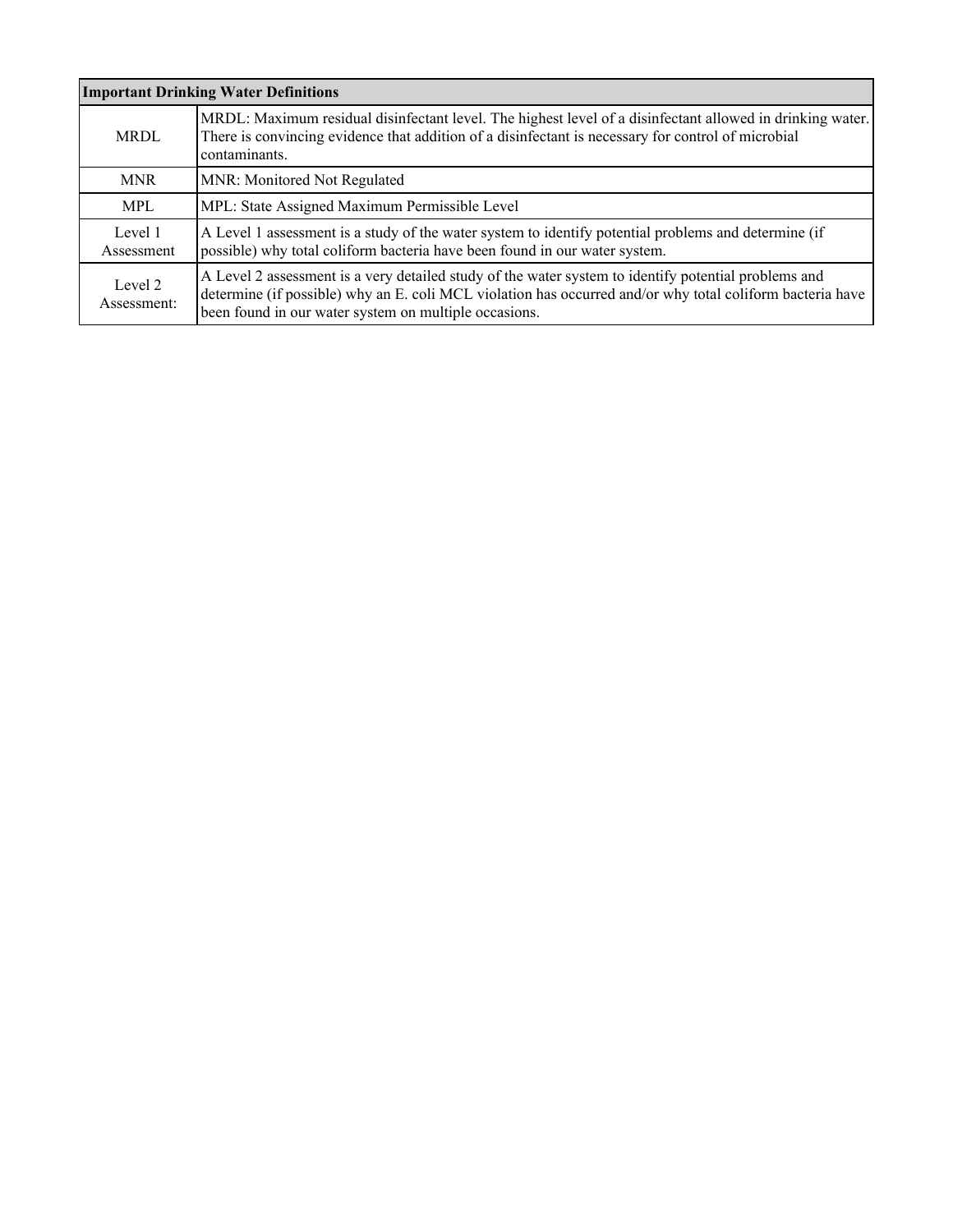| <b>Important Drinking Water Definitions</b>                                                                                                                                                                                                     |                                                                                                                                                                                                                                                                            |  |  |  |  |
|-------------------------------------------------------------------------------------------------------------------------------------------------------------------------------------------------------------------------------------------------|----------------------------------------------------------------------------------------------------------------------------------------------------------------------------------------------------------------------------------------------------------------------------|--|--|--|--|
| MRDL: Maximum residual disinfectant level. The highest level of a disinfectant allowed in drinking water.<br>There is convincing evidence that addition of a disinfectant is necessary for control of microbial<br><b>MRDL</b><br>contaminants. |                                                                                                                                                                                                                                                                            |  |  |  |  |
| <b>MNR</b>                                                                                                                                                                                                                                      | MNR: Monitored Not Regulated                                                                                                                                                                                                                                               |  |  |  |  |
| <b>MPL</b>                                                                                                                                                                                                                                      | MPL: State Assigned Maximum Permissible Level                                                                                                                                                                                                                              |  |  |  |  |
| Level 1<br>Assessment                                                                                                                                                                                                                           | A Level 1 assessment is a study of the water system to identify potential problems and determine (if<br>possible) why total coliform bacteria have been found in our water system.                                                                                         |  |  |  |  |
| Level 2<br>Assessment:                                                                                                                                                                                                                          | A Level 2 assessment is a very detailed study of the water system to identify potential problems and<br>determine (if possible) why an E. coli MCL violation has occurred and/or why total coliform bacteria have<br>been found in our water system on multiple occasions. |  |  |  |  |